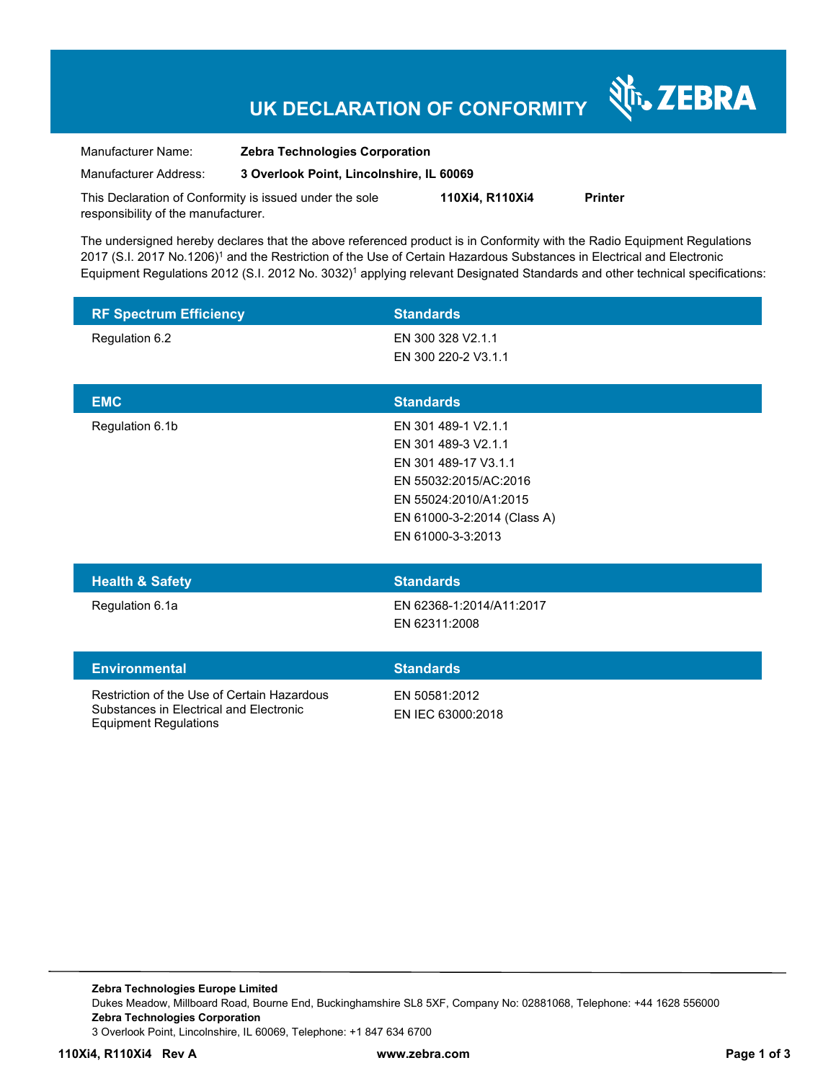# **UK DECLARATION OF CONFORMITY**

Nr. ZEBRA

| Manufacturer Name:                                      | <b>Zebra Technologies Corporation</b>    |                 |                |
|---------------------------------------------------------|------------------------------------------|-----------------|----------------|
| Manufacturer Address:                                   | 3 Overlook Point, Lincolnshire. IL 60069 |                 |                |
| This Declaration of Conformity is issued under the sole |                                          | 110Xi4. R110Xi4 | <b>Printer</b> |

responsibility of the manufacturer.

The undersigned hereby declares that the above referenced product is in Conformity with the Radio Equipment Regulations 2017 (S.I. 2017 No.1206)<sup>1</sup> and the Restriction of the Use of Certain Hazardous Substances in Electrical and Electronic Equipment Regulations 2012 (S.I. 2012 No. 3032)<sup>1</sup> applying relevant Designated Standards and other technical specifications:

| <b>RF Spectrum Efficiency</b>                                                                                          | <b>Standards</b>                                                                                                                                                         |
|------------------------------------------------------------------------------------------------------------------------|--------------------------------------------------------------------------------------------------------------------------------------------------------------------------|
| Regulation 6.2                                                                                                         | EN 300 328 V2.1.1<br>EN 300 220-2 V3.1.1                                                                                                                                 |
| <b>EMC</b>                                                                                                             | <b>Standards</b>                                                                                                                                                         |
| Regulation 6.1b                                                                                                        | EN 301 489-1 V2.1.1<br>EN 301 489-3 V2.1.1<br>EN 301 489-17 V3.1.1<br>EN 55032:2015/AC:2016<br>EN 55024:2010/A1:2015<br>EN 61000-3-2:2014 (Class A)<br>EN 61000-3-3:2013 |
| <b>Health &amp; Safety</b>                                                                                             | <b>Standards</b>                                                                                                                                                         |
| Regulation 6.1a                                                                                                        | EN 62368-1:2014/A11:2017<br>EN 62311:2008                                                                                                                                |
| <b>Environmental</b>                                                                                                   | <b>Standards</b>                                                                                                                                                         |
| Restriction of the Use of Certain Hazardous<br>Substances in Electrical and Electronic<br><b>Equipment Regulations</b> | EN 50581:2012<br>EN IEC 63000:2018                                                                                                                                       |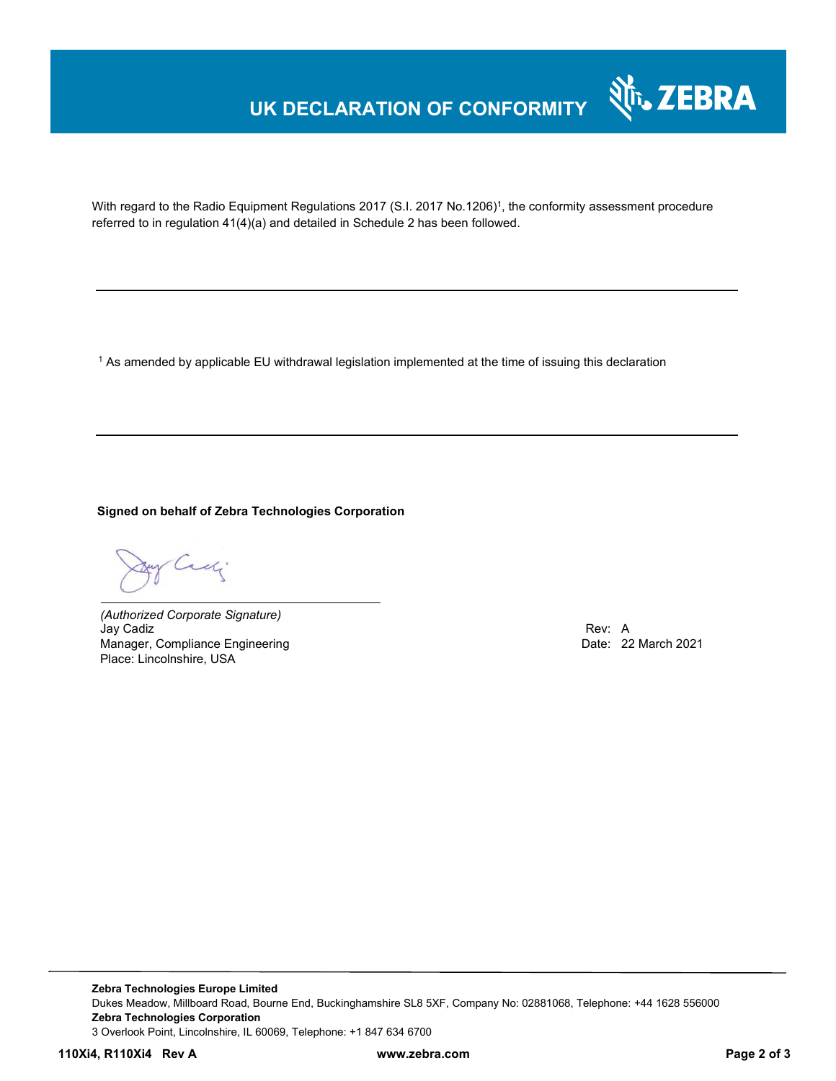### **UK DECLARATION OF CONFORMITY**



With regard to the Radio Equipment Regulations 2017 (S.I. 2017 No.1206)<sup>1</sup>, the conformity assessment procedure referred to in regulation 41(4)(a) and detailed in Schedule 2 has been followed.

 $^{\rm 1}$  As amended by applicable EU withdrawal legislation implemented at the time of issuing this declaration

**Signed on behalf of Zebra Technologies Corporation** 

Cady

*(Authorized Corporate Signature)*  Jay Cadiz Rev: A Manager, Compliance Engineering Place: Lincolnshire, USA

**Zebra Technologies Europe Limited**  Dukes Meadow, Millboard Road, Bourne End, Buckinghamshire SL8 5XF, Company No: 02881068, Telephone: +44 1628 556000 **Zebra Technologies Corporation**  3 Overlook Point, Lincolnshire, IL 60069, Telephone: +1 847 634 6700